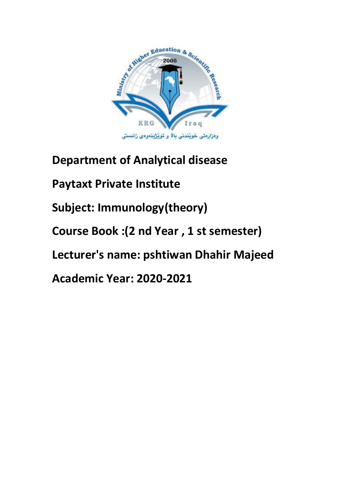

**Department of Analytical disease** 

**Paytaxt Private Institute** 

**Subject: Immunology(theory)**

**Course Book :(2 nd Year , 1 st semester)**

**Lecturer's name: pshtiwan Dhahir Majeed** 

**Academic Year: 2020-2021**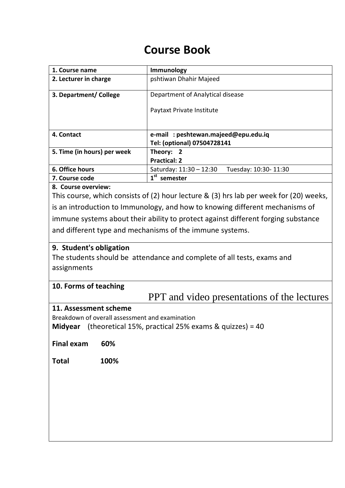# **Course Book**

| 1. Course name                                                                    | Immunology                                                                             |  |
|-----------------------------------------------------------------------------------|----------------------------------------------------------------------------------------|--|
| 2. Lecturer in charge                                                             | pshtiwan Dhahir Majeed                                                                 |  |
| 3. Department/ College                                                            | Department of Analytical disease                                                       |  |
|                                                                                   | Paytaxt Private Institute                                                              |  |
|                                                                                   |                                                                                        |  |
| 4. Contact                                                                        | e-mail: peshtewan.majeed@epu.edu.iq                                                    |  |
|                                                                                   | Tel: (optional) 07504728141                                                            |  |
| 5. Time (in hours) per week                                                       | Theory: 2<br><b>Practical: 2</b>                                                       |  |
| 6. Office hours                                                                   | Tuesday: 10:30-11:30<br>Saturday: 11:30 - 12:30                                        |  |
| 7. Course code                                                                    | $1st$ semester                                                                         |  |
| 8. Course overview:                                                               |                                                                                        |  |
|                                                                                   | This course, which consists of (2) hour lecture & (3) hrs lab per week for (20) weeks, |  |
| is an introduction to Immunology, and how to knowing different mechanisms of      |                                                                                        |  |
| immune systems about their ability to protect against different forging substance |                                                                                        |  |
| and different type and mechanisms of the immune systems.                          |                                                                                        |  |
| 9. Student's obligation                                                           |                                                                                        |  |
| The students should be attendance and complete of all tests, exams and            |                                                                                        |  |
| assignments                                                                       |                                                                                        |  |
|                                                                                   |                                                                                        |  |
| 10. Forms of teaching                                                             |                                                                                        |  |
|                                                                                   | <b>PPT</b> and video presentations of the lectures                                     |  |
| 11. Assessment scheme                                                             |                                                                                        |  |
| Breakdown of overall assessment and examination                                   |                                                                                        |  |
|                                                                                   | <b>Midyear</b> (theoretical 15%, practical 25% exams & quizzes) = 40                   |  |
|                                                                                   |                                                                                        |  |
| <b>Final exam</b><br>60%                                                          |                                                                                        |  |
| 100%<br><b>Total</b>                                                              |                                                                                        |  |
|                                                                                   |                                                                                        |  |
|                                                                                   |                                                                                        |  |
|                                                                                   |                                                                                        |  |
|                                                                                   |                                                                                        |  |
|                                                                                   |                                                                                        |  |
|                                                                                   |                                                                                        |  |
|                                                                                   |                                                                                        |  |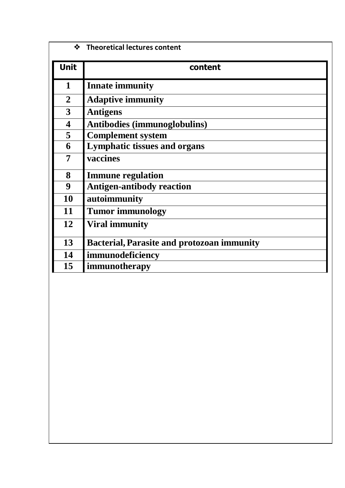| ❖                       | <b>Theoretical lectures content</b>               |
|-------------------------|---------------------------------------------------|
| <b>Unit</b>             | content                                           |
| 1                       | <b>Innate immunity</b>                            |
| $\overline{2}$          | <b>Adaptive immunity</b>                          |
| 3                       | <b>Antigens</b>                                   |
| $\overline{\mathbf{4}}$ | <b>Antibodies (immunoglobulins)</b>               |
| 5                       | <b>Complement system</b>                          |
| 6                       | <b>Lymphatic tissues and organs</b>               |
| 7                       | vaccines                                          |
| 8                       | <b>Immune regulation</b>                          |
| 9                       | <b>Antigen-antibody reaction</b>                  |
| 10                      | autoimmunity                                      |
| 11                      | <b>Tumor immunology</b>                           |
| 12                      | <b>Viral immunity</b>                             |
| 13                      | <b>Bacterial, Parasite and protozoan immunity</b> |
| 14                      | immunodeficiency                                  |
| 15                      | immunotherapy                                     |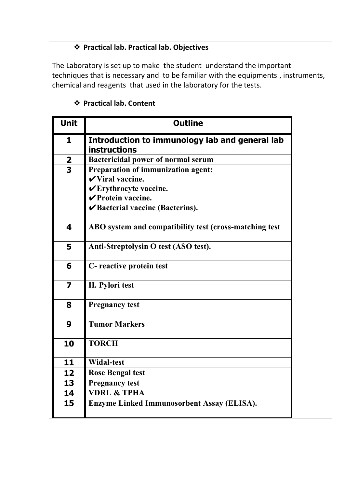# ❖ **Practical lab. Practical lab. Objectives**

The Laboratory is set up to make the student understand the important techniques that is necessary and to be familiar with the equipments , instruments, chemical and reagents that used in the laboratory for the tests.

# ❖ **Practical lab. Content**

| <b>Unit</b>             | <b>Outline</b>                                                        |
|-------------------------|-----------------------------------------------------------------------|
| $\mathbf{1}$            | Introduction to immunology lab and general lab<br><b>instructions</b> |
| $\frac{2}{3}$           | <b>Bactericidal power of normal serum</b>                             |
|                         | Preparation of immunization agent:                                    |
|                         | $\checkmark$ Viral vaccine.                                           |
|                         | <b>∠Erythrocyte vaccine.</b>                                          |
|                         | <b>∠Protein vaccine.</b>                                              |
|                         | Bacterial vaccine (Bacterins).                                        |
|                         |                                                                       |
| 4                       | ABO system and compatibility test (cross-matching test                |
| 5                       | Anti-Streptolysin O test (ASO test).                                  |
| 6                       | C- reactive protein test                                              |
| $\overline{\mathbf{z}}$ | H. Pylori test                                                        |
| 8                       | <b>Pregnancy test</b>                                                 |
| 9                       | <b>Tumor Markers</b>                                                  |
| 10                      | <b>TORCH</b>                                                          |
| 11                      | <b>Widal-test</b>                                                     |
| 12                      | <b>Rose Bengal test</b>                                               |
| 13                      | <b>Pregnancy test</b>                                                 |
| 14                      | <b>VDRL &amp; TPHA</b>                                                |
| 15                      | Enzyme Linked Immunosorbent Assay (ELISA).                            |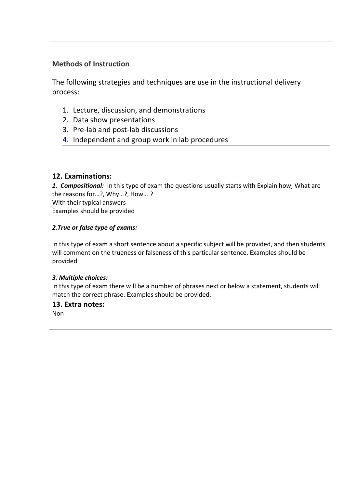# **Methods of Instruction**

The following strategies and techniques are use in the instructional delivery process:

- 1. Lecture, discussion, and demonstrations
- 2. Data show presentations
- 3. Pre-lab and post-lab discussions
- 4. Independent and group work in lab procedures

#### **12. Examinations:**

*1. Compositional:* In this type of exam the questions usually starts with Explain how, What are the reasons for…?, Why…?, How….?

With their typical answers Examples should be provided

## *2.True or false type of exams:*

In this type of exam a short sentence about a specific subject will be provided, and then students will comment on the trueness or falseness of this particular sentence. Examples should be provided

#### *3. Multiple choices:*

In this type of exam there will be a number of phrases next or below a statement, students will match the correct phrase. Examples should be provided.

#### **13. Extra notes:**

Non